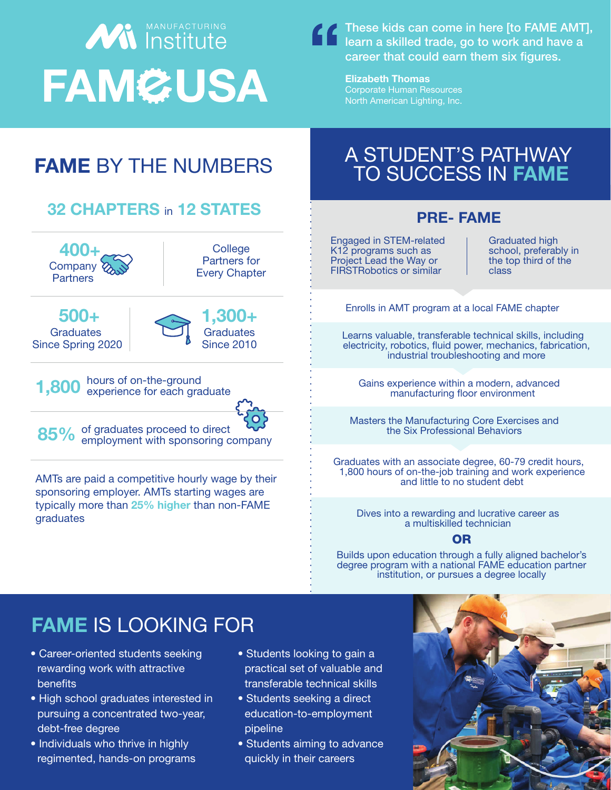# With Institute **FAM&USA**



Elizabeth Thomas Corporate Human Resources North American Lighting, Inc.

# FAME BY THE NUMBERS

## 32 CHAPTERS in 12 STATES

400+ **Company Partners** 

**College** Partners for Every Chapter

500+ **Graduates** Since Spring 2020



**1,800** hours of on-the-ground<br> **1,800** experience for each graduate

85% of graduates proceed to direct<br>85% employment with sponsoring company

AMTs are paid a competitive hourly wage by their sponsoring employer. AMTs starting wages are typically more than 25% higher than non-FAME graduates

## A STUDENT'S PATHWAY TO SUCCESS IN FAME

#### PRE- FAME

Engaged in STEM-related K12 programs such as Project Lead the Way or FIRSTRobotics or similar

Graduated high school, preferably in the top third of the class

Enrolls in AMT program at a local FAME chapter

Learns valuable, transferable technical skills, including electricity, robotics, fluid power, mechanics, fabrication, industrial troubleshooting and more

Gains experience within a modern, advanced manufacturing floor environment

Masters the Manufacturing Core Exercises and the Six Professional Behaviors

Graduates with an associate degree, 60-79 credit hours, 1,800 hours of on-the-job training and work experience and little to no student debt

Dives into a rewarding and lucrative career as a multiskilled technician

#### OR

Builds upon education through a fully aligned bachelor's degree program with a national FAME education partner institution, or pursues a degree locally

## FAME IS LOOKING FOR

- Career-oriented students seeking rewarding work with attractive benefits
- High school graduates interested in pursuing a concentrated two-year, debt-free degree
- Individuals who thrive in highly regimented, hands-on programs
- Students looking to gain a practical set of valuable and transferable technical skills
- Students seeking a direct education-to-employment pipeline
- Students aiming to advance quickly in their careers